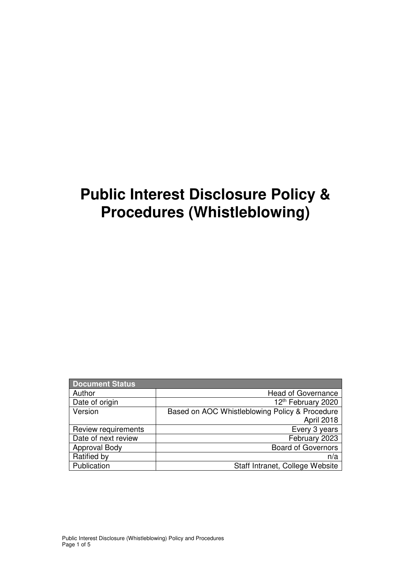# **Public Interest Disclosure Policy & Procedures (Whistleblowing)**

| <b>Document Status</b> |                                                |
|------------------------|------------------------------------------------|
| Author                 | <b>Head of Governance</b>                      |
| Date of origin         | 12th February 2020                             |
| Version                | Based on AOC Whistleblowing Policy & Procedure |
|                        | April 2018                                     |
| Review requirements    | Every 3 years                                  |
| Date of next review    | February 2023                                  |
| Approval Body          | <b>Board of Governors</b>                      |
| Ratified by            | n/a                                            |
| Publication            | Staff Intranet, College Website                |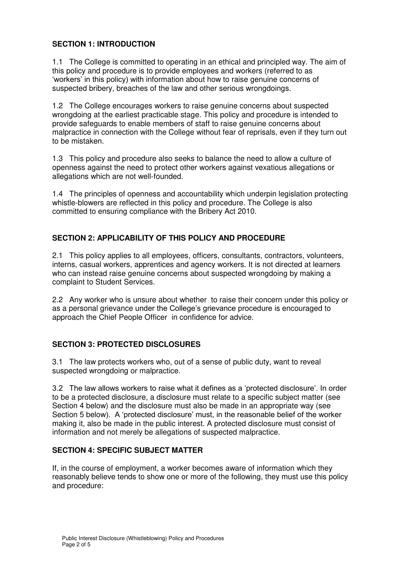#### **SECTION 1: INTRODUCTION**

1.1 The College is committed to operating in an ethical and principled way. The aim of this policy and procedure is to provide employees and workers (referred to as 'workers' in this policy) with information about how to raise genuine concerns of suspected bribery, breaches of the law and other serious wrongdoings.

1.2 The College encourages workers to raise genuine concerns about suspected wrongdoing at the earliest practicable stage. This policy and procedure is intended to provide safeguards to enable members of staff to raise genuine concerns about malpractice in connection with the College without fear of reprisals, even if they turn out to be mistaken.

1.3 This policy and procedure also seeks to balance the need to allow a culture of openness against the need to protect other workers against vexatious allegations or allegations which are not well-founded.

1.4 The principles of openness and accountability which underpin legislation protecting whistle-blowers are reflected in this policy and procedure. The College is also committed to ensuring compliance with the Bribery Act 2010.

# **SECTION 2: APPLICABILITY OF THIS POLICY AND PROCEDURE**

2.1 This policy applies to all employees, officers, consultants, contractors, volunteers, interns, casual workers, apprentices and agency workers. It is not directed at learners who can instead raise genuine concerns about suspected wrongdoing by making a complaint to Student Services.

2.2 Any worker who is unsure about whether to raise their concern under this policy or as a personal grievance under the College's grievance procedure is encouraged to approach the Chief People Officer in confidence for advice.

# **SECTION 3: PROTECTED DISCLOSURES**

3.1 The law protects workers who, out of a sense of public duty, want to reveal suspected wrongdoing or malpractice.

3.2 The law allows workers to raise what it defines as a 'protected disclosure'. In order to be a protected disclosure, a disclosure must relate to a specific subject matter (see Section 4 below) and the disclosure must also be made in an appropriate way (see Section 5 below). A 'protected disclosure' must, in the reasonable belief of the worker making it, also be made in the public interest. A protected disclosure must consist of information and not merely be allegations of suspected malpractice.

# **SECTION 4: SPECIFIC SUBJECT MATTER**

If, in the course of employment, a worker becomes aware of information which they reasonably believe tends to show one or more of the following, they must use this policy and procedure: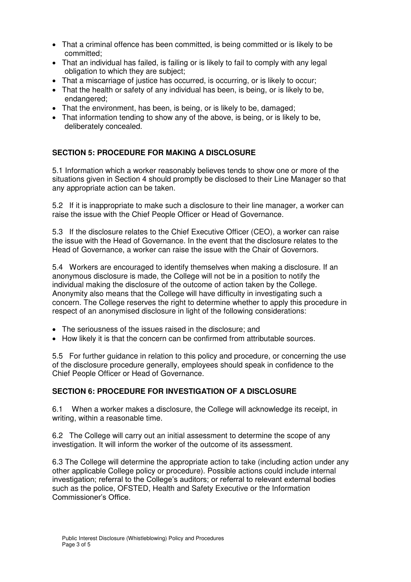- That a criminal offence has been committed, is being committed or is likely to be committed;
- That an individual has failed, is failing or is likely to fail to comply with any legal obligation to which they are subject;
- That a miscarriage of justice has occurred, is occurring, or is likely to occur;
- That the health or safety of any individual has been, is being, or is likely to be, endangered;
- That the environment, has been, is being, or is likely to be, damaged;
- That information tending to show any of the above, is being, or is likely to be, deliberately concealed.

# **SECTION 5: PROCEDURE FOR MAKING A DISCLOSURE**

5.1 Information which a worker reasonably believes tends to show one or more of the situations given in Section 4 should promptly be disclosed to their Line Manager so that any appropriate action can be taken.

5.2 If it is inappropriate to make such a disclosure to their line manager, a worker can raise the issue with the Chief People Officer or Head of Governance.

5.3 If the disclosure relates to the Chief Executive Officer (CEO), a worker can raise the issue with the Head of Governance. In the event that the disclosure relates to the Head of Governance, a worker can raise the issue with the Chair of Governors.

5.4 Workers are encouraged to identify themselves when making a disclosure. If an anonymous disclosure is made, the College will not be in a position to notify the individual making the disclosure of the outcome of action taken by the College. Anonymity also means that the College will have difficulty in investigating such a concern. The College reserves the right to determine whether to apply this procedure in respect of an anonymised disclosure in light of the following considerations:

- The seriousness of the issues raised in the disclosure; and
- How likely it is that the concern can be confirmed from attributable sources.

5.5 For further guidance in relation to this policy and procedure, or concerning the use of the disclosure procedure generally, employees should speak in confidence to the Chief People Officer or Head of Governance.

# **SECTION 6: PROCEDURE FOR INVESTIGATION OF A DISCLOSURE**

6.1 When a worker makes a disclosure, the College will acknowledge its receipt, in writing, within a reasonable time.

6.2 The College will carry out an initial assessment to determine the scope of any investigation. It will inform the worker of the outcome of its assessment.

6.3 The College will determine the appropriate action to take (including action under any other applicable College policy or procedure). Possible actions could include internal investigation; referral to the College's auditors; or referral to relevant external bodies such as the police, OFSTED, Health and Safety Executive or the Information Commissioner's Office.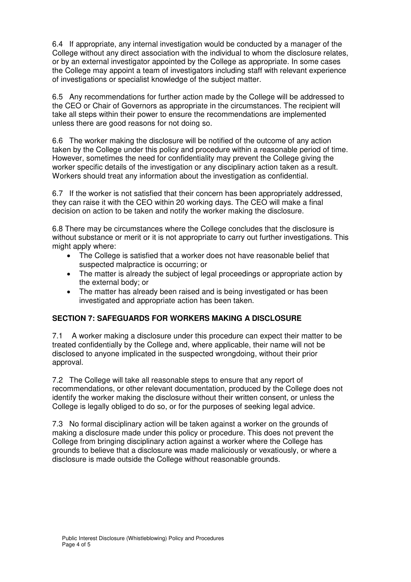6.4 If appropriate, any internal investigation would be conducted by a manager of the College without any direct association with the individual to whom the disclosure relates, or by an external investigator appointed by the College as appropriate. In some cases the College may appoint a team of investigators including staff with relevant experience of investigations or specialist knowledge of the subject matter.

6.5 Any recommendations for further action made by the College will be addressed to the CEO or Chair of Governors as appropriate in the circumstances. The recipient will take all steps within their power to ensure the recommendations are implemented unless there are good reasons for not doing so.

6.6 The worker making the disclosure will be notified of the outcome of any action taken by the College under this policy and procedure within a reasonable period of time. However, sometimes the need for confidentiality may prevent the College giving the worker specific details of the investigation or any disciplinary action taken as a result. Workers should treat any information about the investigation as confidential.

6.7 If the worker is not satisfied that their concern has been appropriately addressed, they can raise it with the CEO within 20 working days. The CEO will make a final decision on action to be taken and notify the worker making the disclosure.

6.8 There may be circumstances where the College concludes that the disclosure is without substance or merit or it is not appropriate to carry out further investigations. This might apply where:

- The College is satisfied that a worker does not have reasonable belief that suspected malpractice is occurring; or
- The matter is already the subject of legal proceedings or appropriate action by the external body; or
- The matter has already been raised and is being investigated or has been investigated and appropriate action has been taken.

# **SECTION 7: SAFEGUARDS FOR WORKERS MAKING A DISCLOSURE**

7.1 A worker making a disclosure under this procedure can expect their matter to be treated confidentially by the College and, where applicable, their name will not be disclosed to anyone implicated in the suspected wrongdoing, without their prior approval.

7.2 The College will take all reasonable steps to ensure that any report of recommendations, or other relevant documentation, produced by the College does not identify the worker making the disclosure without their written consent, or unless the College is legally obliged to do so, or for the purposes of seeking legal advice.

7.3 No formal disciplinary action will be taken against a worker on the grounds of making a disclosure made under this policy or procedure. This does not prevent the College from bringing disciplinary action against a worker where the College has grounds to believe that a disclosure was made maliciously or vexatiously, or where a disclosure is made outside the College without reasonable grounds.